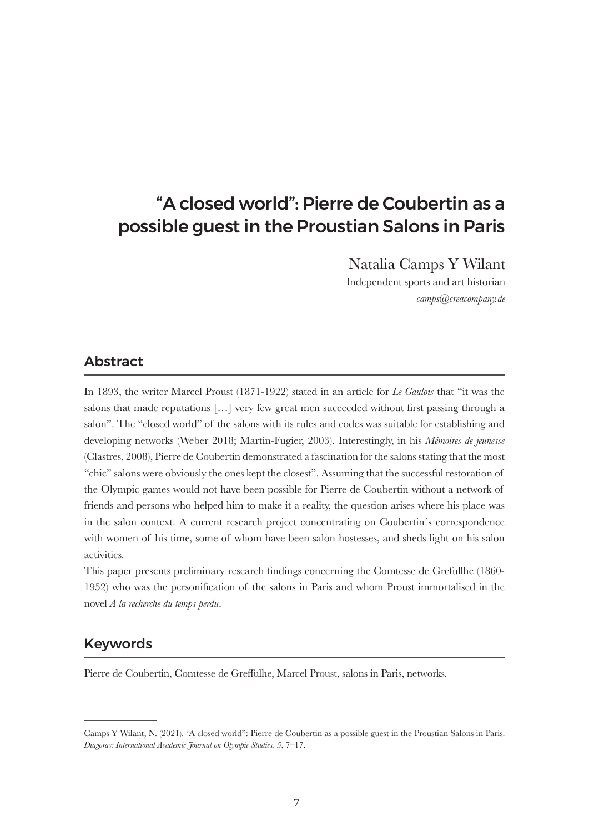# "A closed world": Pierre de Coubertin as a possible guest in the Proustian Salons in Paris

Natalia Camps Y Wilant

Independent sports and art historian *camps@creacompany.de*

# Abstract

In 1893, the writer Marcel Proust (1871-1922) stated in an article for *Le Gaulois* that "it was the salons that made reputations […] very few great men succeeded without first passing through a salon". The "closed world" of the salons with its rules and codes was suitable for establishing and developing networks (Weber 2018; Martin-Fugier, 2003). Interestingly, in his *Mémoires de jeunesse* (Clastres, 2008), Pierre de Coubertin demonstrated a fascination for the salons stating that the most "chic" salons were obviously the ones kept the closest". Assuming that the successful restoration of the Olympic games would not have been possible for Pierre de Coubertin without a network of friends and persons who helped him to make it a reality, the question arises where his place was in the salon context. A current research project concentrating on Coubertin´s correspondence with women of his time, some of whom have been salon hostesses, and sheds light on his salon activities.

This paper presents preliminary research findings concerning the Comtesse de Grefullhe (1860- 1952) who was the personification of the salons in Paris and whom Proust immortalised in the novel *A la recherche du temps perdu*.

# Keywords

Pierre de Coubertin, Comtesse de Greffulhe, Marcel Proust, salons in Paris, networks.

Camps Y Wilant, N. (2021). "A closed world": Pierre de Coubertin as a possible guest in the Proustian Salons in Paris. *Diagoras: International Academic Journal on Olympic Studies, 5*, 7–17.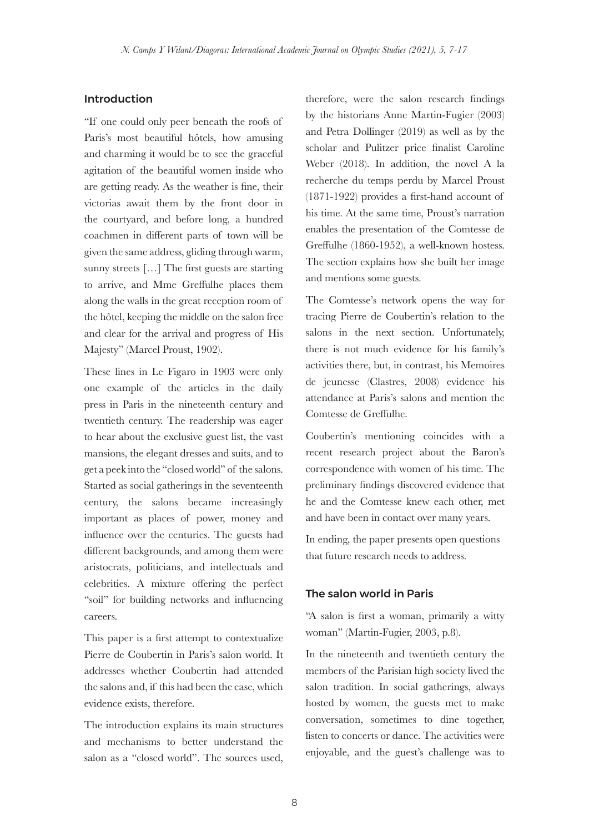#### Introduction

"If one could only peer beneath the roofs of Paris's most beautiful hôtels, how amusing and charming it would be to see the graceful agitation of the beautiful women inside who are getting ready. As the weather is fine, their victorias await them by the front door in the courtyard, and before long, a hundred coachmen in different parts of town will be given the same address, gliding through warm, sunny streets […] The first guests are starting to arrive, and Mme Greffulhe places them along the walls in the great reception room of the hôtel, keeping the middle on the salon free and clear for the arrival and progress of His Majesty" (Marcel Proust, 1902).

These lines in Le Figaro in 1903 were only one example of the articles in the daily press in Paris in the nineteenth century and twentieth century. The readership was eager to hear about the exclusive guest list, the vast mansions, the elegant dresses and suits, and to get a peek into the "closed world" of the salons. Started as social gatherings in the seventeenth century, the salons became increasingly important as places of power, money and influence over the centuries. The guests had different backgrounds, and among them were aristocrats, politicians, and intellectuals and celebrities. A mixture offering the perfect "soil" for building networks and influencing careers.

This paper is a first attempt to contextualize Pierre de Coubertin in Paris's salon world. It addresses whether Coubertin had attended the salons and, if this had been the case, which evidence exists, therefore.

The introduction explains its main structures and mechanisms to better understand the salon as a "closed world". The sources used,

therefore, were the salon research findings by the historians Anne Martin-Fugier (2003) and Petra Dollinger (2019) as well as by the scholar and Pulitzer price finalist Caroline Weber (2018). In addition, the novel A la recherche du temps perdu by Marcel Proust (1871-1922) provides a first-hand account of his time. At the same time, Proust's narration enables the presentation of the Comtesse de Greffulhe (1860-1952), a well-known hostess. The section explains how she built her image and mentions some guests.

The Comtesse's network opens the way for tracing Pierre de Coubertin's relation to the salons in the next section. Unfortunately, there is not much evidence for his family's activities there, but, in contrast, his Memoires de jeunesse (Clastres, 2008) evidence his attendance at Paris's salons and mention the Comtesse de Greffulhe.

Coubertin's mentioning coincides with a recent research project about the Baron's correspondence with women of his time. The preliminary findings discovered evidence that he and the Comtesse knew each other, met and have been in contact over many years.

In ending, the paper presents open questions that future research needs to address.

#### The salon world in Paris

"A salon is first a woman, primarily a witty woman" (Martin-Fugier, 2003, p.8).

In the nineteenth and twentieth century the members of the Parisian high society lived the salon tradition. In social gatherings, always hosted by women, the guests met to make conversation, sometimes to dine together, listen to concerts or dance. The activities were enjoyable, and the guest's challenge was to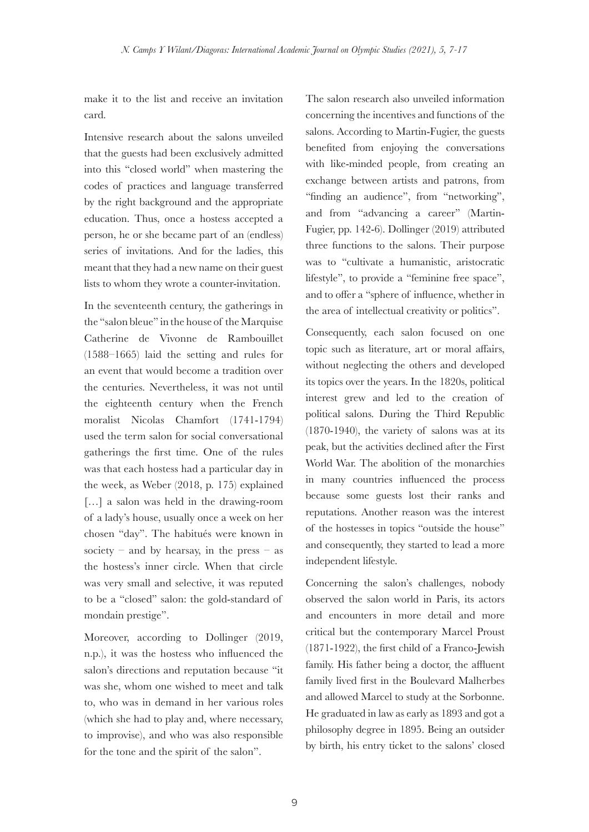make it to the list and receive an invitation card.

Intensive research about the salons unveiled that the guests had been exclusively admitted into this "closed world" when mastering the codes of practices and language transferred by the right background and the appropriate education. Thus, once a hostess accepted a person, he or she became part of an (endless) series of invitations. And for the ladies, this meant that they had a new name on their guest lists to whom they wrote a counter-invitation.

In the seventeenth century, the gatherings in the "salon bleue" in the house of the Marquise Catherine de Vivonne de Rambouillet (1588–1665) laid the setting and rules for an event that would become a tradition over the centuries. Nevertheless, it was not until the eighteenth century when the French moralist Nicolas Chamfort (1741-1794) used the term salon for social conversational gatherings the first time. One of the rules was that each hostess had a particular day in the week, as Weber (2018, p. 175) explained [...] a salon was held in the drawing-room of a lady's house, usually once a week on her chosen "day". The habitués were known in society – and by hearsay, in the press – as the hostess's inner circle. When that circle was very small and selective, it was reputed to be a "closed" salon: the gold-standard of mondain prestige".

Moreover, according to Dollinger (2019, n.p.), it was the hostess who influenced the salon's directions and reputation because "it was she, whom one wished to meet and talk to, who was in demand in her various roles (which she had to play and, where necessary, to improvise), and who was also responsible for the tone and the spirit of the salon".

The salon research also unveiled information concerning the incentives and functions of the salons. According to Martin-Fugier, the guests benefited from enjoying the conversations with like-minded people, from creating an exchange between artists and patrons, from "finding an audience", from "networking", and from "advancing a career" (Martin-Fugier, pp. 142-6). Dollinger (2019) attributed three functions to the salons. Their purpose was to "cultivate a humanistic, aristocratic lifestyle", to provide a "feminine free space", and to offer a "sphere of influence, whether in the area of intellectual creativity or politics".

Consequently, each salon focused on one topic such as literature, art or moral affairs, without neglecting the others and developed its topics over the years. In the 1820s, political interest grew and led to the creation of political salons. During the Third Republic (1870-1940), the variety of salons was at its peak, but the activities declined after the First World War. The abolition of the monarchies in many countries influenced the process because some guests lost their ranks and reputations. Another reason was the interest of the hostesses in topics "outside the house" and consequently, they started to lead a more independent lifestyle.

Concerning the salon's challenges, nobody observed the salon world in Paris, its actors and encounters in more detail and more critical but the contemporary Marcel Proust (1871-1922), the first child of a Franco-Jewish family. His father being a doctor, the affluent family lived first in the Boulevard Malherbes and allowed Marcel to study at the Sorbonne. He graduated in law as early as 1893 and got a philosophy degree in 1895. Being an outsider by birth, his entry ticket to the salons' closed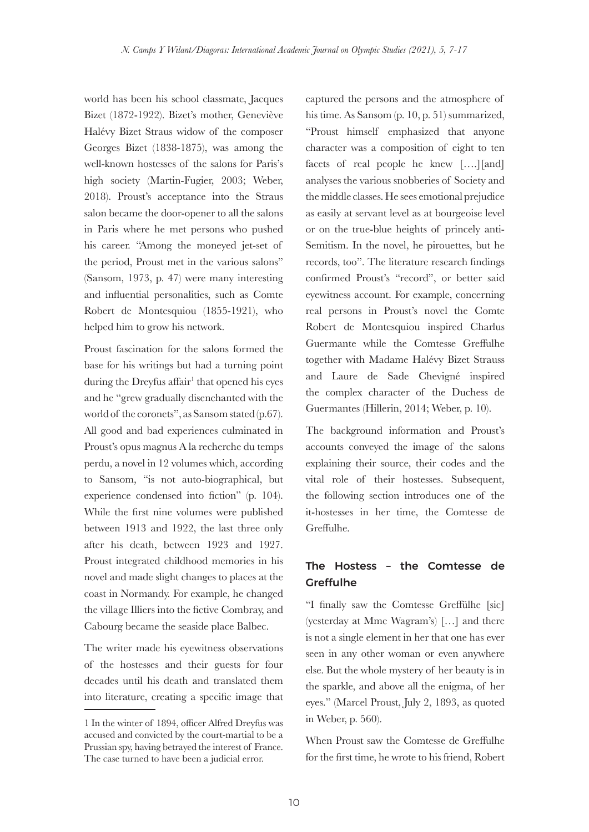world has been his school classmate, Jacques Bizet (1872-1922). Bizet's mother, Geneviève Halévy Bizet Straus widow of the composer Georges Bizet (1838-1875), was among the well-known hostesses of the salons for Paris's high society (Martin-Fugier, 2003; Weber, 2018). Proust's acceptance into the Straus salon became the door-opener to all the salons in Paris where he met persons who pushed his career. "Among the moneyed jet-set of the period, Proust met in the various salons" (Sansom, 1973, p. 47) were many interesting and influential personalities, such as Comte Robert de Montesquiou (1855-1921), who helped him to grow his network.

Proust fascination for the salons formed the base for his writings but had a turning point during the Dreyfus affair<sup>1</sup> that opened his eyes and he "grew gradually disenchanted with the world of the coronets", as Sansom stated (p.67). All good and bad experiences culminated in Proust's opus magnus A la recherche du temps perdu, a novel in 12 volumes which, according to Sansom, "is not auto-biographical, but experience condensed into fiction" (p. 104). While the first nine volumes were published between 1913 and 1922, the last three only after his death, between 1923 and 1927. Proust integrated childhood memories in his novel and made slight changes to places at the coast in Normandy. For example, he changed the village Illiers into the fictive Combray, and Cabourg became the seaside place Balbec.

The writer made his eyewitness observations of the hostesses and their guests for four decades until his death and translated them into literature, creating a specific image that

captured the persons and the atmosphere of his time. As Sansom (p. 10, p. 51) summarized, "Proust himself emphasized that anyone character was a composition of eight to ten facets of real people he knew [….][and] analyses the various snobberies of Society and the middle classes. He sees emotional prejudice as easily at servant level as at bourgeoise level or on the true-blue heights of princely anti-Semitism. In the novel, he pirouettes, but he records, too". The literature research findings confirmed Proust's "record", or better said eyewitness account. For example, concerning real persons in Proust's novel the Comte Robert de Montesquiou inspired Charlus Guermante while the Comtesse Greffulhe together with Madame Halévy Bizet Strauss and Laure de Sade Chevigné inspired the complex character of the Duchess de Guermantes (Hillerin, 2014; Weber, p. 10).

The background information and Proust's accounts conveyed the image of the salons explaining their source, their codes and the vital role of their hostesses. Subsequent, the following section introduces one of the it-hostesses in her time, the Comtesse de Greffulhe.

### The Hostess – the Comtesse de **Greffulhe**

"I finally saw the Comtesse Greffülhe [sic] (yesterday at Mme Wagram's) […] and there is not a single element in her that one has ever seen in any other woman or even anywhere else. But the whole mystery of her beauty is in the sparkle, and above all the enigma, of her eyes." (Marcel Proust, July 2, 1893, as quoted in Weber, p. 560).

When Proust saw the Comtesse de Greffulhe for the first time, he wrote to his friend, Robert

<sup>1</sup> In the winter of 1894, officer Alfred Dreyfus was accused and convicted by the court-martial to be a Prussian spy, having betrayed the interest of France. The case turned to have been a judicial error.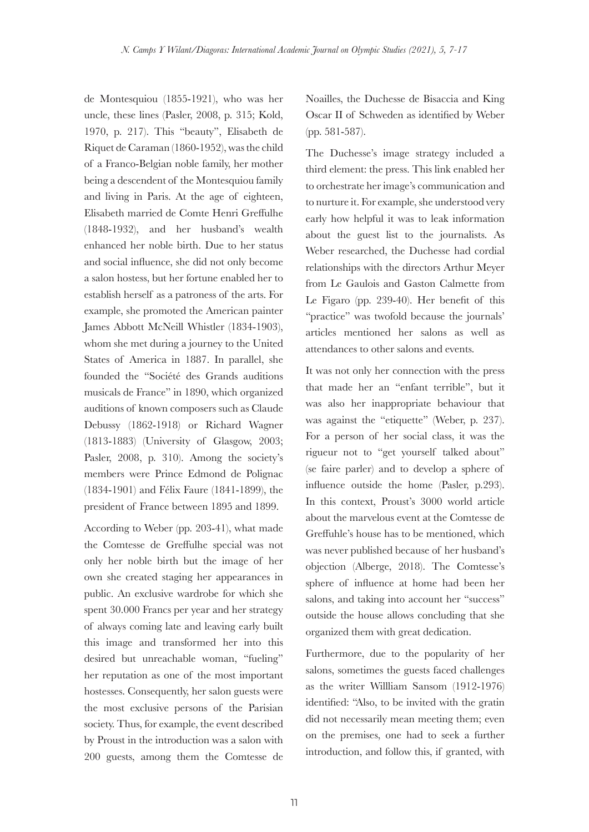de Montesquiou (1855-1921), who was her uncle, these lines (Pasler, 2008, p. 315; Kold, 1970, p. 217). This "beauty", Elisabeth de Riquet de Caraman (1860-1952), was the child of a Franco-Belgian noble family, her mother being a descendent of the Montesquiou family and living in Paris. At the age of eighteen, Elisabeth married de Comte Henri Greffulhe (1848-1932), and her husband's wealth enhanced her noble birth. Due to her status and social influence, she did not only become a salon hostess, but her fortune enabled her to establish herself as a patroness of the arts. For example, she promoted the American painter James Abbott McNeill Whistler (1834-1903), whom she met during a journey to the United States of America in 1887. In parallel, she founded the "Société des Grands auditions musicals de France" in 1890, which organized auditions of known composers such as Claude Debussy (1862-1918) or Richard Wagner (1813-1883) (University of Glasgow, 2003; Pasler, 2008, p. 310). Among the society's members were Prince Edmond de Polignac (1834-1901) and Félix Faure (1841-1899), the president of France between 1895 and 1899.

According to Weber (pp. 203-41), what made the Comtesse de Greffulhe special was not only her noble birth but the image of her own she created staging her appearances in public. An exclusive wardrobe for which she spent 30.000 Francs per year and her strategy of always coming late and leaving early built this image and transformed her into this desired but unreachable woman, "fueling" her reputation as one of the most important hostesses. Consequently, her salon guests were the most exclusive persons of the Parisian society. Thus, for example, the event described by Proust in the introduction was a salon with 200 guests, among them the Comtesse de Noailles, the Duchesse de Bisaccia and King Oscar II of Schweden as identified by Weber (pp. 581-587).

The Duchesse's image strategy included a third element: the press. This link enabled her to orchestrate her image's communication and to nurture it. For example, she understood very early how helpful it was to leak information about the guest list to the journalists. As Weber researched, the Duchesse had cordial relationships with the directors Arthur Meyer from Le Gaulois and Gaston Calmette from Le Figaro (pp. 239-40). Her benefit of this "practice" was twofold because the journals' articles mentioned her salons as well as attendances to other salons and events.

It was not only her connection with the press that made her an "enfant terrible", but it was also her inappropriate behaviour that was against the "etiquette" (Weber, p. 237). For a person of her social class, it was the rigueur not to "get yourself talked about" (se faire parler) and to develop a sphere of influence outside the home (Pasler, p.293). In this context, Proust's 3000 world article about the marvelous event at the Comtesse de Greffuhle's house has to be mentioned, which was never published because of her husband's objection (Alberge, 2018). The Comtesse's sphere of influence at home had been her salons, and taking into account her "success" outside the house allows concluding that she organized them with great dedication.

Furthermore, due to the popularity of her salons, sometimes the guests faced challenges as the writer Willliam Sansom (1912-1976) identified: "Also, to be invited with the gratin did not necessarily mean meeting them; even on the premises, one had to seek a further introduction, and follow this, if granted, with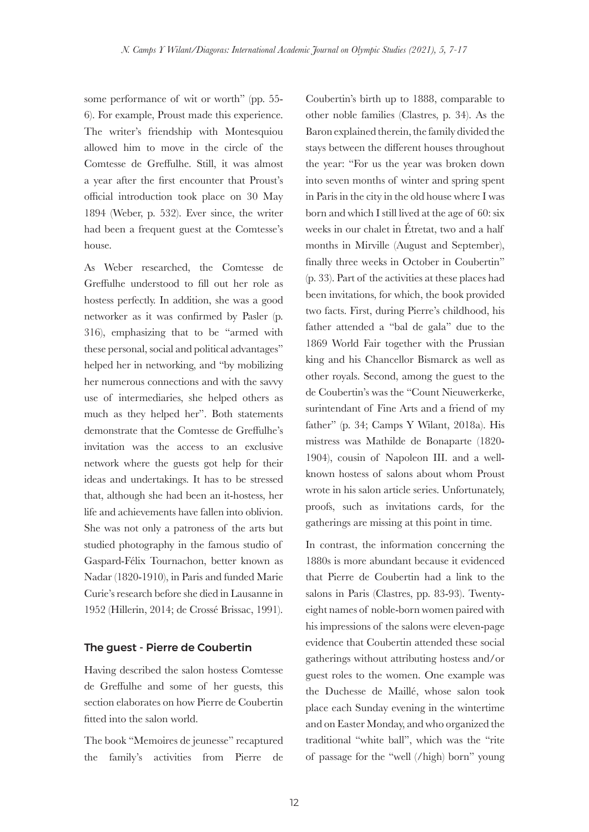some performance of wit or worth" (pp. 55- 6). For example, Proust made this experience. The writer's friendship with Montesquiou allowed him to move in the circle of the Comtesse de Greffulhe. Still, it was almost a year after the first encounter that Proust's official introduction took place on 30 May 1894 (Weber, p. 532). Ever since, the writer had been a frequent guest at the Comtesse's house.

As Weber researched, the Comtesse de Greffulhe understood to fill out her role as hostess perfectly. In addition, she was a good networker as it was confirmed by Pasler (p. 316), emphasizing that to be "armed with these personal, social and political advantages" helped her in networking, and "by mobilizing her numerous connections and with the savvy use of intermediaries, she helped others as much as they helped her". Both statements demonstrate that the Comtesse de Greffulhe's invitation was the access to an exclusive network where the guests got help for their ideas and undertakings. It has to be stressed that, although she had been an it-hostess, her life and achievements have fallen into oblivion. She was not only a patroness of the arts but studied photography in the famous studio of Gaspard-Félix Tournachon, better known as Nadar (1820-1910), in Paris and funded Marie Curie's research before she died in Lausanne in 1952 (Hillerin, 2014; de Crossé Brissac, 1991).

#### The guest - Pierre de Coubertin

Having described the salon hostess Comtesse de Greffulhe and some of her guests, this section elaborates on how Pierre de Coubertin fitted into the salon world.

The book "Memoires de jeunesse" recaptured the family's activities from Pierre de

Coubertin's birth up to 1888, comparable to other noble families (Clastres, p. 34). As the Baron explained therein, the family divided the stays between the different houses throughout the year: "For us the year was broken down into seven months of winter and spring spent in Paris in the city in the old house where I was born and which I still lived at the age of 60: six weeks in our chalet in Étretat, two and a half months in Mirville (August and September), finally three weeks in October in Coubertin" (p. 33). Part of the activities at these places had been invitations, for which, the book provided two facts. First, during Pierre's childhood, his father attended a "bal de gala" due to the 1869 World Fair together with the Prussian king and his Chancellor Bismarck as well as other royals. Second, among the guest to the de Coubertin's was the "Count Nieuwerkerke, surintendant of Fine Arts and a friend of my father" (p. 34; Camps Y Wilant, 2018a). His mistress was Mathilde de Bonaparte (1820- 1904), cousin of Napoleon III. and a wellknown hostess of salons about whom Proust wrote in his salon article series. Unfortunately, proofs, such as invitations cards, for the gatherings are missing at this point in time.

In contrast, the information concerning the 1880s is more abundant because it evidenced that Pierre de Coubertin had a link to the salons in Paris (Clastres, pp. 83-93). Twentyeight names of noble-born women paired with his impressions of the salons were eleven-page evidence that Coubertin attended these social gatherings without attributing hostess and/or guest roles to the women. One example was the Duchesse de Maillé, whose salon took place each Sunday evening in the wintertime and on Easter Monday, and who organized the traditional "white ball", which was the "rite of passage for the "well (/high) born" young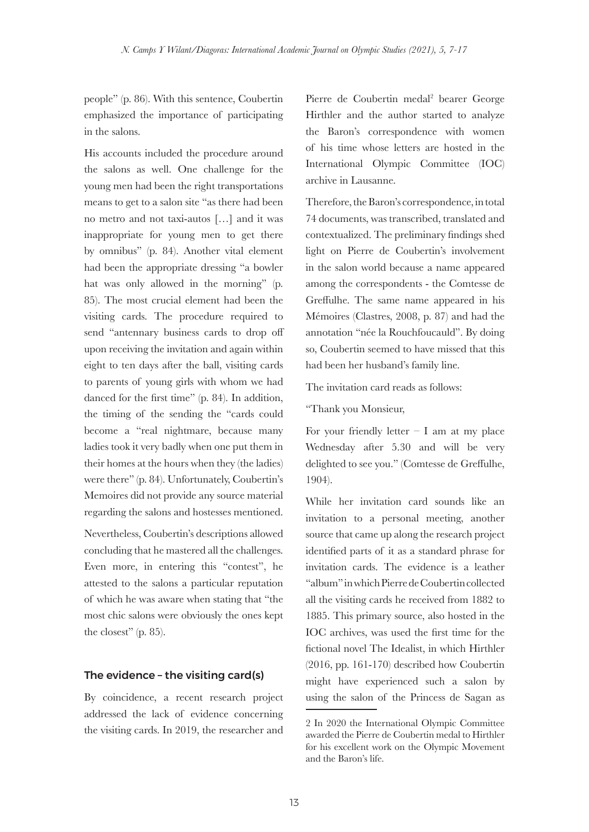people" (p. 86). With this sentence, Coubertin emphasized the importance of participating in the salons.

His accounts included the procedure around the salons as well. One challenge for the young men had been the right transportations means to get to a salon site "as there had been no metro and not taxi-autos […] and it was inappropriate for young men to get there by omnibus" (p. 84). Another vital element had been the appropriate dressing "a bowler hat was only allowed in the morning" (p. 85). The most crucial element had been the visiting cards. The procedure required to send "antennary business cards to drop off upon receiving the invitation and again within eight to ten days after the ball, visiting cards to parents of young girls with whom we had danced for the first time" (p. 84). In addition, the timing of the sending the "cards could become a "real nightmare, because many ladies took it very badly when one put them in their homes at the hours when they (the ladies) were there" (p. 84). Unfortunately, Coubertin's Memoires did not provide any source material regarding the salons and hostesses mentioned.

Nevertheless, Coubertin's descriptions allowed concluding that he mastered all the challenges. Even more, in entering this "contest", he attested to the salons a particular reputation of which he was aware when stating that "the most chic salons were obviously the ones kept the closest" (p. 85).

### The evidence – the visiting card(s)

By coincidence, a recent research project addressed the lack of evidence concerning the visiting cards. In 2019, the researcher and

Pierre de Coubertin medal<sup>2</sup> bearer George Hirthler and the author started to analyze the Baron's correspondence with women of his time whose letters are hosted in the International Olympic Committee (IOC) archive in Lausanne.

Therefore, the Baron's correspondence, in total 74 documents, was transcribed, translated and contextualized. The preliminary findings shed light on Pierre de Coubertin's involvement in the salon world because a name appeared among the correspondents - the Comtesse de Greffulhe. The same name appeared in his Mémoires (Clastres, 2008, p. 87) and had the annotation "née la Rouchfoucauld". By doing so, Coubertin seemed to have missed that this had been her husband's family line.

The invitation card reads as follows:

### "Thank you Monsieur,

For your friendly letter  $- I$  am at my place Wednesday after 5.30 and will be very delighted to see you." (Comtesse de Greffulhe, 1904).

While her invitation card sounds like an invitation to a personal meeting, another source that came up along the research project identified parts of it as a standard phrase for invitation cards. The evidence is a leather "album" in which Pierre de Coubertin collected all the visiting cards he received from 1882 to 1885. This primary source, also hosted in the IOC archives, was used the first time for the fictional novel The Idealist, in which Hirthler (2016, pp. 161-170) described how Coubertin might have experienced such a salon by using the salon of the Princess de Sagan as

<sup>2</sup> In 2020 the International Olympic Committee awarded the Pierre de Coubertin medal to Hirthler for his excellent work on the Olympic Movement and the Baron's life.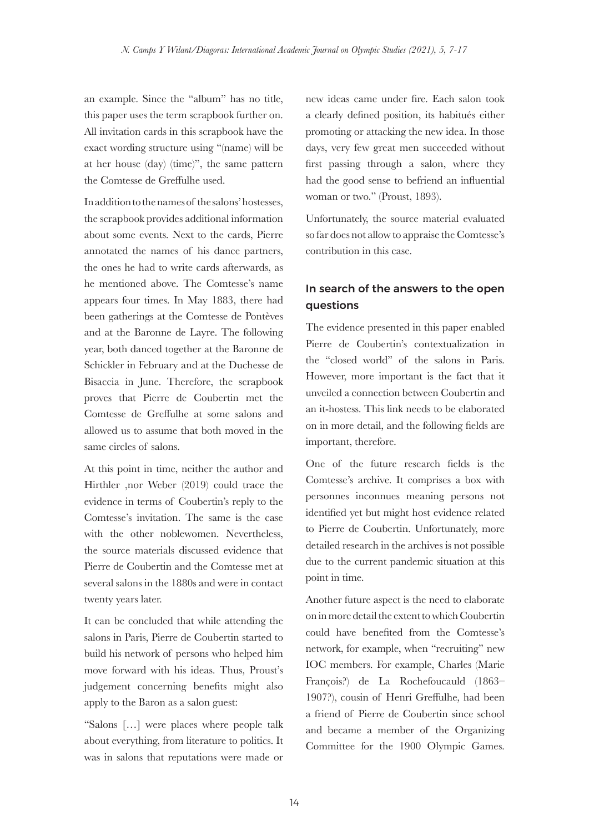an example. Since the "album" has no title, this paper uses the term scrapbook further on. All invitation cards in this scrapbook have the exact wording structure using "(name) will be at her house (day) (time)", the same pattern the Comtesse de Greffulhe used.

In addition to the names of the salons' hostesses, the scrapbook provides additional information about some events. Next to the cards, Pierre annotated the names of his dance partners, the ones he had to write cards afterwards, as he mentioned above. The Comtesse's name appears four times. In May 1883, there had been gatherings at the Comtesse de Pontèves and at the Baronne de Layre. The following year, both danced together at the Baronne de Schickler in February and at the Duchesse de Bisaccia in June. Therefore, the scrapbook proves that Pierre de Coubertin met the Comtesse de Greffulhe at some salons and allowed us to assume that both moved in the same circles of salons.

At this point in time, neither the author and Hirthler ,nor Weber (2019) could trace the evidence in terms of Coubertin's reply to the Comtesse's invitation. The same is the case with the other noblewomen. Nevertheless, the source materials discussed evidence that Pierre de Coubertin and the Comtesse met at several salons in the 1880s and were in contact twenty years later.

It can be concluded that while attending the salons in Paris, Pierre de Coubertin started to build his network of persons who helped him move forward with his ideas. Thus, Proust's judgement concerning benefits might also apply to the Baron as a salon guest:

"Salons […] were places where people talk about everything, from literature to politics. It was in salons that reputations were made or new ideas came under fire. Each salon took a clearly defined position, its habitués either promoting or attacking the new idea. In those days, very few great men succeeded without first passing through a salon, where they had the good sense to befriend an influential woman or two." (Proust, 1893).

Unfortunately, the source material evaluated so far does not allow to appraise the Comtesse's contribution in this case.

# In search of the answers to the open questions

The evidence presented in this paper enabled Pierre de Coubertin's contextualization in the "closed world" of the salons in Paris. However, more important is the fact that it unveiled a connection between Coubertin and an it-hostess. This link needs to be elaborated on in more detail, and the following fields are important, therefore.

One of the future research fields is the Comtesse's archive. It comprises a box with personnes inconnues meaning persons not identified yet but might host evidence related to Pierre de Coubertin. Unfortunately, more detailed research in the archives is not possible due to the current pandemic situation at this point in time.

Another future aspect is the need to elaborate on in more detail the extent to which Coubertin could have benefited from the Comtesse's network, for example, when "recruiting" new IOC members. For example, Charles (Marie François?) de La Rochefoucauld (1863– 1907?), cousin of Henri Greffulhe, had been a friend of Pierre de Coubertin since school and became a member of the Organizing Committee for the 1900 Olympic Games.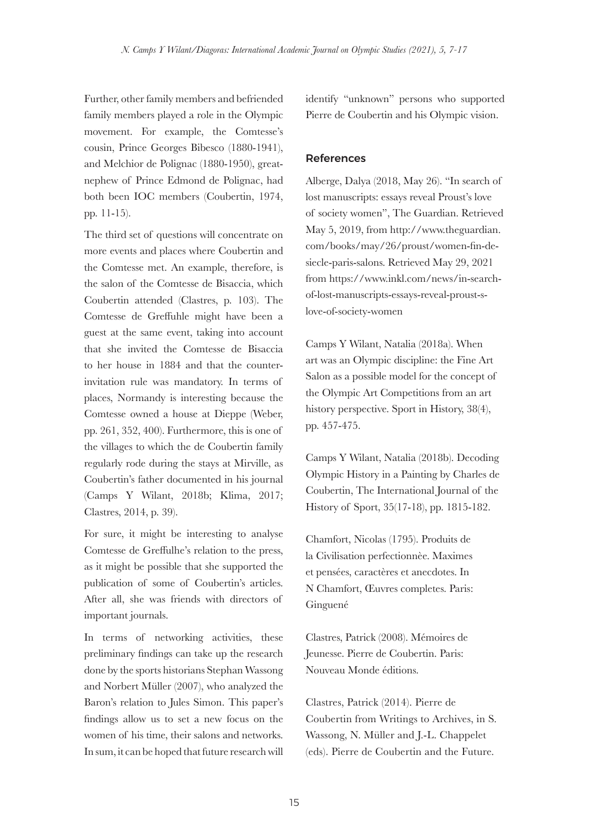Further, other family members and befriended family members played a role in the Olympic movement. For example, the Comtesse's cousin, Prince Georges Bibesco (1880-1941), and Melchior de Polignac (1880-1950), greatnephew of Prince Edmond de Polignac, had both been IOC members (Coubertin, 1974, pp. 11-15).

The third set of questions will concentrate on more events and places where Coubertin and the Comtesse met. An example, therefore, is the salon of the Comtesse de Bisaccia, which Coubertin attended (Clastres, p. 103). The Comtesse de Greffuhle might have been a guest at the same event, taking into account that she invited the Comtesse de Bisaccia to her house in 1884 and that the counterinvitation rule was mandatory. In terms of places, Normandy is interesting because the Comtesse owned a house at Dieppe (Weber, pp. 261, 352, 400). Furthermore, this is one of the villages to which the de Coubertin family regularly rode during the stays at Mirville, as Coubertin's father documented in his journal (Camps Y Wilant, 2018b; Klima, 2017; Clastres, 2014, p. 39).

For sure, it might be interesting to analyse Comtesse de Greffulhe's relation to the press, as it might be possible that she supported the publication of some of Coubertin's articles. After all, she was friends with directors of important journals.

In terms of networking activities, these preliminary findings can take up the research done by the sports historians Stephan Wassong and Norbert Müller (2007), who analyzed the Baron's relation to Jules Simon. This paper's findings allow us to set a new focus on the women of his time, their salons and networks. In sum, it can be hoped that future research will

identify "unknown" persons who supported Pierre de Coubertin and his Olympic vision.

#### References

Alberge, Dalya (2018, May 26). "In search of lost manuscripts: essays reveal Proust's love of society women", The Guardian. Retrieved May 5, 2019, from http://www.theguardian. com/books/may/26/proust/women-fin-desiecle-paris-salons. Retrieved May 29, 2021 from https://www.inkl.com/news/in-searchof-lost-manuscripts-essays-reveal-proust-slove-of-society-women

Camps Y Wilant, Natalia (2018a). When art was an Olympic discipline: the Fine Art Salon as a possible model for the concept of the Olympic Art Competitions from an art history perspective. Sport in History, 38(4), pp. 457-475.

Camps Y Wilant, Natalia (2018b). Decoding Olympic History in a Painting by Charles de Coubertin, The International Journal of the History of Sport, 35(17-18), pp. 1815-182.

Chamfort, Nicolas (1795). Produits de la Civilisation perfectionnèe. Maximes et pensées, caractères et anecdotes. In N Chamfort, Œuvres completes. Paris: Ginguené

Clastres, Patrick (2008). Mémoires de Jeunesse. Pierre de Coubertin. Paris: Nouveau Monde éditions.

Clastres, Patrick (2014). Pierre de Coubertin from Writings to Archives, in S. Wassong, N. Müller and J.-L. Chappelet (eds). Pierre de Coubertin and the Future.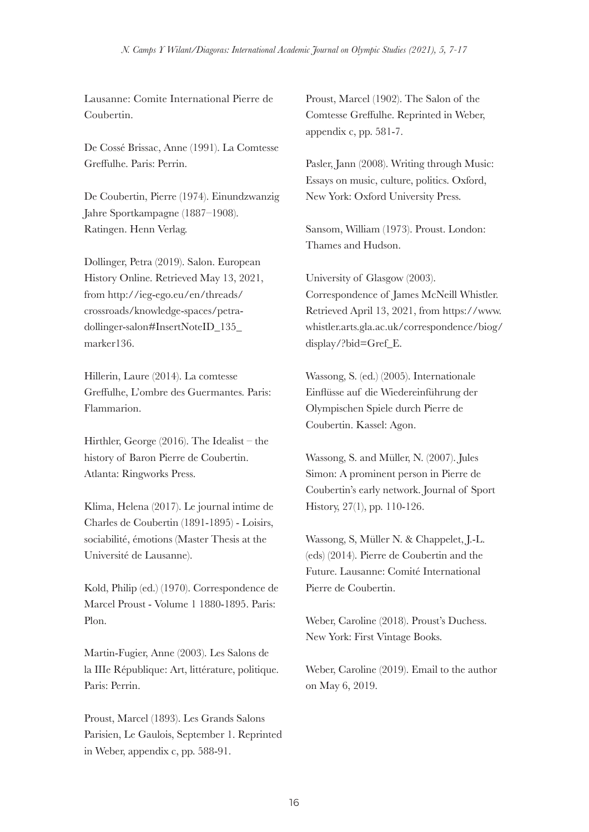Lausanne: Comite International Pierre de Coubertin.

De Cossé Brissac, Anne (1991). La Comtesse Greffulhe. Paris: Perrin.

De Coubertin, Pierre (1974). Einundzwanzig Jahre Sportkampagne (1887–1908). Ratingen. Henn Verlag.

Dollinger, Petra (2019). Salon. European History Online. Retrieved May 13, 2021, from http://ieg-ego.eu/en/threads/ crossroads/knowledge-spaces/petradollinger-salon#InsertNoteID\_135\_ marker136.

Hillerin, Laure (2014). La comtesse Greffulhe, L'ombre des Guermantes. Paris: Flammarion.

Hirthler, George (2016). The Idealist – the history of Baron Pierre de Coubertin. Atlanta: Ringworks Press.

Klima, Helena (2017). Le journal intime de Charles de Coubertin (1891-1895) - Loisirs, sociabilité, émotions (Master Thesis at the Université de Lausanne).

Kold, Philip (ed.) (1970). Correspondence de Marcel Proust - Volume 1 1880-1895. Paris: Plon.

Martin-Fugier, Anne (2003). Les Salons de la IIIe République: Art, littérature, politique. Paris: Perrin.

Proust, Marcel (1893). Les Grands Salons Parisien, Le Gaulois, September 1. Reprinted in Weber, appendix c, pp. 588-91.

Proust, Marcel (1902). The Salon of the Comtesse Greffulhe. Reprinted in Weber, appendix c, pp. 581-7.

Pasler, Jann (2008). Writing through Music: Essays on music, culture, politics. Oxford, New York: Oxford University Press.

Sansom, William (1973). Proust. London: Thames and Hudson.

University of Glasgow (2003). Correspondence of James McNeill Whistler. Retrieved April 13, 2021, from https://www. whistler.arts.gla.ac.uk/correspondence/biog/ display/?bid=Gref\_E.

Wassong, S. (ed.) (2005). Internationale Einflüsse auf die Wiedereinführung der Olympischen Spiele durch Pierre de Coubertin. Kassel: Agon.

Wassong, S. and Müller, N. (2007). Jules Simon: A prominent person in Pierre de Coubertin's early network. Journal of Sport History, 27(1), pp. 110-126.

Wassong, S, Müller N. & Chappelet, J.-L. (eds) (2014). Pierre de Coubertin and the Future. Lausanne: Comité International Pierre de Coubertin.

Weber, Caroline (2018). Proust's Duchess. New York: First Vintage Books.

Weber, Caroline (2019). Email to the author on May 6, 2019.